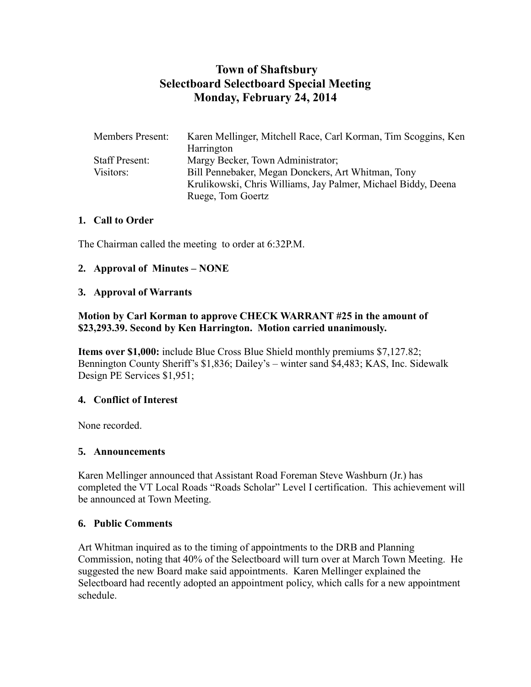# **Town of Shaftsbury Selectboard Selectboard Special Meeting Monday, February 24, 2014**

| <b>Members Present:</b> | Karen Mellinger, Mitchell Race, Carl Korman, Tim Scoggins, Ken |
|-------------------------|----------------------------------------------------------------|
|                         | Harrington                                                     |
| <b>Staff Present:</b>   | Margy Becker, Town Administrator;                              |
| Visitors:               | Bill Pennebaker, Megan Donckers, Art Whitman, Tony             |
|                         | Krulikowski, Chris Williams, Jay Palmer, Michael Biddy, Deena  |
|                         | Ruege, Tom Goertz                                              |

#### **1. Call to Order**

The Chairman called the meeting to order at 6:32P.M.

### **2. Approval of Minutes – NONE**

#### **3. Approval of Warrants**

### **Motion by Carl Korman to approve CHECK WARRANT #25 in the amount of \$23,293.39. Second by Ken Harrington. Motion carried unanimously.**

**Items over \$1,000:** include Blue Cross Blue Shield monthly premiums \$7,127.82; Bennington County Sheriff's \$1,836; Dailey's – winter sand \$4,483; KAS, Inc. Sidewalk Design PE Services \$1,951;

### **4. Conflict of Interest**

None recorded.

#### **5. Announcements**

Karen Mellinger announced that Assistant Road Foreman Steve Washburn (Jr.) has completed the VT Local Roads "Roads Scholar" Level I certification. This achievement will be announced at Town Meeting.

### **6. Public Comments**

Art Whitman inquired as to the timing of appointments to the DRB and Planning Commission, noting that 40% of the Selectboard will turn over at March Town Meeting. He suggested the new Board make said appointments. Karen Mellinger explained the Selectboard had recently adopted an appointment policy, which calls for a new appointment schedule.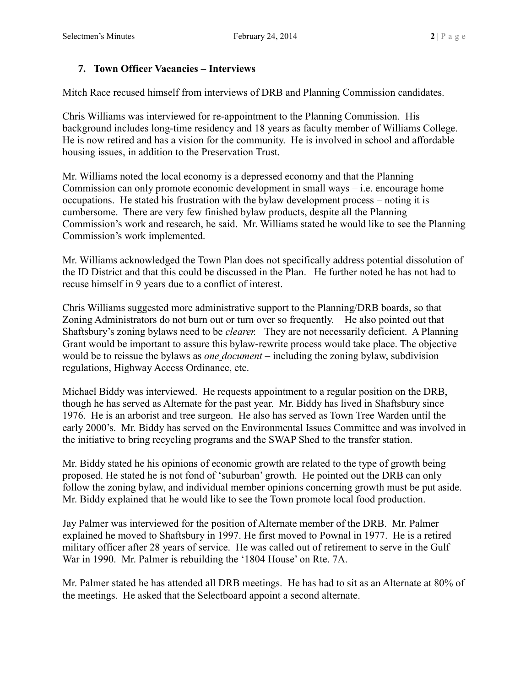### **7. Town Officer Vacancies – Interviews**

Mitch Race recused himself from interviews of DRB and Planning Commission candidates.

Chris Williams was interviewed for re-appointment to the Planning Commission. His background includes long-time residency and 18 years as faculty member of Williams College. He is now retired and has a vision for the community. He is involved in school and affordable housing issues, in addition to the Preservation Trust.

Mr. Williams noted the local economy is a depressed economy and that the Planning Commission can only promote economic development in small ways – i.e. encourage home occupations. He stated his frustration with the bylaw development process – noting it is cumbersome. There are very few finished bylaw products, despite all the Planning Commission's work and research, he said. Mr. Williams stated he would like to see the Planning Commission's work implemented.

Mr. Williams acknowledged the Town Plan does not specifically address potential dissolution of the ID District and that this could be discussed in the Plan. He further noted he has not had to recuse himself in 9 years due to a conflict of interest.

Chris Williams suggested more administrative support to the Planning/DRB boards, so that Zoning Administrators do not burn out or turn over so frequently. He also pointed out that Shaftsbury's zoning bylaws need to be *clearer.* They are not necessarily deficient. A Planning Grant would be important to assure this bylaw-rewrite process would take place. The objective would be to reissue the bylaws as *one document* – including the zoning bylaw, subdivision regulations, Highway Access Ordinance, etc.

Michael Biddy was interviewed. He requests appointment to a regular position on the DRB, though he has served as Alternate for the past year. Mr. Biddy has lived in Shaftsbury since 1976. He is an arborist and tree surgeon. He also has served as Town Tree Warden until the early 2000's. Mr. Biddy has served on the Environmental Issues Committee and was involved in the initiative to bring recycling programs and the SWAP Shed to the transfer station.

Mr. Biddy stated he his opinions of economic growth are related to the type of growth being proposed. He stated he is not fond of 'suburban' growth. He pointed out the DRB can only follow the zoning bylaw, and individual member opinions concerning growth must be put aside. Mr. Biddy explained that he would like to see the Town promote local food production.

Jay Palmer was interviewed for the position of Alternate member of the DRB. Mr. Palmer explained he moved to Shaftsbury in 1997. He first moved to Pownal in 1977. He is a retired military officer after 28 years of service. He was called out of retirement to serve in the Gulf War in 1990. Mr. Palmer is rebuilding the '1804 House' on Rte. 7A.

Mr. Palmer stated he has attended all DRB meetings. He has had to sit as an Alternate at 80% of the meetings. He asked that the Selectboard appoint a second alternate.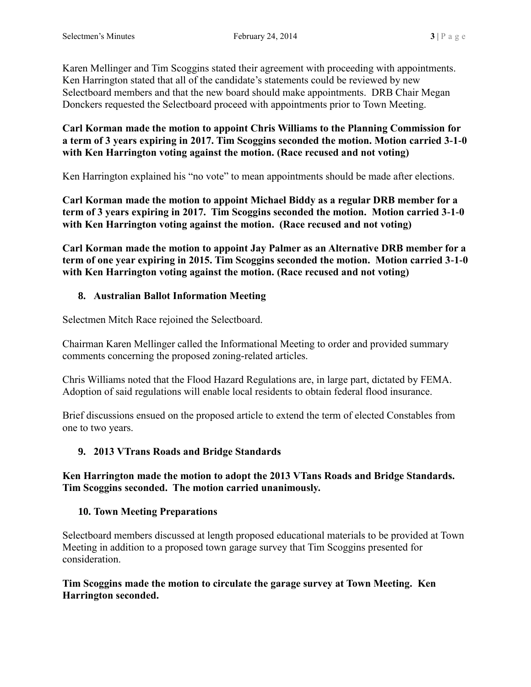Karen Mellinger and Tim Scoggins stated their agreement with proceeding with appointments. Ken Harrington stated that all of the candidate's statements could be reviewed by new Selectboard members and that the new board should make appointments. DRB Chair Megan Donckers requested the Selectboard proceed with appointments prior to Town Meeting.

### **Carl Korman made the motion to appoint Chris Williams to the Planning Commission for a term of 3 years expiring in 2017. Tim Scoggins seconded the motion. Motion carried 3-1-0 with Ken Harrington voting against the motion. (Race recused and not voting)**

Ken Harrington explained his "no vote" to mean appointments should be made after elections.

**Carl Korman made the motion to appoint Michael Biddy as a regular DRB member for a term of 3 years expiring in 2017. Tim Scoggins seconded the motion. Motion carried 3-1-0 with Ken Harrington voting against the motion. (Race recused and not voting)**

**Carl Korman made the motion to appoint Jay Palmer as an Alternative DRB member for a term of one year expiring in 2015. Tim Scoggins seconded the motion. Motion carried 3-1-0 with Ken Harrington voting against the motion. (Race recused and not voting)**

# **8. Australian Ballot Information Meeting**

Selectmen Mitch Race rejoined the Selectboard.

Chairman Karen Mellinger called the Informational Meeting to order and provided summary comments concerning the proposed zoning-related articles.

Chris Williams noted that the Flood Hazard Regulations are, in large part, dictated by FEMA. Adoption of said regulations will enable local residents to obtain federal flood insurance.

Brief discussions ensued on the proposed article to extend the term of elected Constables from one to two years.

# **9. 2013 VTrans Roads and Bridge Standards**

### **Ken Harrington made the motion to adopt the 2013 VTans Roads and Bridge Standards. Tim Scoggins seconded. The motion carried unanimously.**

### **10. Town Meeting Preparations**

Selectboard members discussed at length proposed educational materials to be provided at Town Meeting in addition to a proposed town garage survey that Tim Scoggins presented for consideration.

**Tim Scoggins made the motion to circulate the garage survey at Town Meeting. Ken Harrington seconded.**